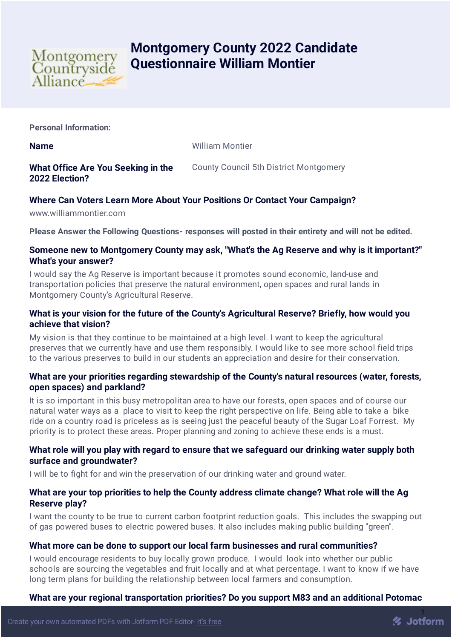

# **Montgomery County 2022 Candidate Questionnaire William Montier**

**Personal Information:**

**Name** William Montier

#### **What Office Are You Seeking in the 2022 Election?** County Council 5th District Montgomery

# **Where Can Voters Learn More About Your Positions Or Contact Your Campaign?**

www.williammontier.com

**Please Answer the Following Questions- responses will posted in their entirety and will not be edited.**

#### **Someone new to Montgomery County may ask, "What's the Ag Reserve and why is it important?" What's your answer?**

I would say the Ag Reserve is important because it promotes sound economic, land-use and transportation policies that preserve the natural environment, open spaces and rural lands in Montgomery County's Agricultural Reserve.

# **What is your vision for the future of the County's Agricultural Reserve? Briefly, how would you achieve that vision?**

My vision is that they continue to be maintained at a high level. I want to keep the agricultural preserves that we currently have and use them responsibly. I would like to see more school field trips to the various preserves to build in our students an appreciation and desire for their conservation.

# **What are your priorities regarding stewardship of the County's natural resources (water, forests, open spaces) and parkland?**

It is so important in this busy metropolitan area to have our forests, open spaces and of course our natural water ways as a place to visit to keep the right perspective on life. Being able to take a bike ride on a country road is priceless as is seeing just the peaceful beauty of the Sugar Loaf Forrest. My priority is to protect these areas. Proper planning and zoning to achieve these ends is a must.

# **What role will you play with regard to ensure that we safeguard our drinking water supply both surface and groundwater?**

I will be to fight for and win the preservation of our drinking water and ground water.

# **What are your top priorities to help the County address climate change? What role will the Ag Reserve play?**

I want the county to be true to current carbon footprint reduction goals. This includes the swapping out of gas powered buses to electric powered buses. It also includes making public building "green".

#### **What more can be done to support our local farm businesses and rural communities?**

I would encourage residents to buy locally grown produce. I would look into whether our public schools are sourcing the vegetables and fruit locally and at what percentage. I want to know if we have long term plans for building the relationship between local farmers and consumption.

#### **What are your regional transportation priorities? Do you support M83 and an additional Potomac**